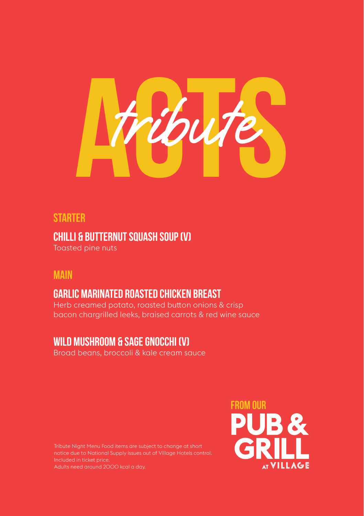

## **Starter**

**Chilli & Butternut Squash Soup (V)**

Toasted pine nuts

### **Main**

# **Garlic Marinated Roasted Chicken Breast**

Herb creamed potato, roasted button onions & crisp bacon chargrilled leeks, braised carrots & red wine sauce

## **Wild Mushroom & Sage Gnocchi (V)**

Broad beans, broccoli & kale cream sauce

Tribute Night Menu Food items are subject to change at short notice due to National Supply issues out of Village Hotels control. Included in ticket price. Adults need around 2000 kcal a day.